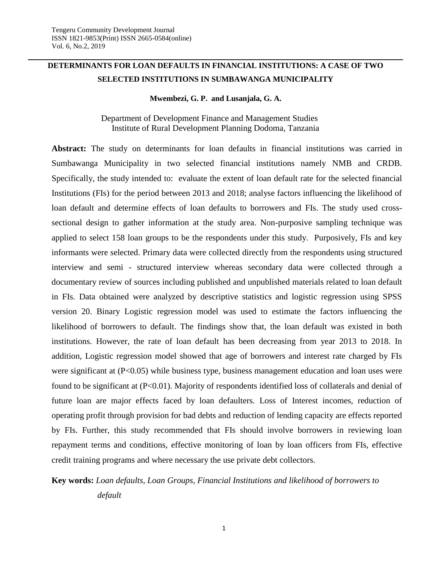## **DETERMINANTS FOR LOAN DEFAULTS IN FINANCIAL INSTITUTIONS: A CASE OF TWO SELECTED INSTITUTIONS IN SUMBAWANGA MUNICIPALITY**

### **Mwembezi, G. P. and Lusanjala, G. A.**

 Department of Development Finance and Management Studies Institute of Rural Development Planning Dodoma, Tanzania

**Abstract:** The study on determinants for loan defaults in financial institutions was carried in Sumbawanga Municipality in two selected financial institutions namely NMB and CRDB. Specifically, the study intended to: evaluate the extent of loan default rate for the selected financial Institutions (FIs) for the period between 2013 and 2018; analyse factors influencing the likelihood of loan default and determine effects of loan defaults to borrowers and FIs. The study used crosssectional design to gather information at the study area. Non-purposive sampling technique was applied to select 158 loan groups to be the respondents under this study. Purposively, FIs and key informants were selected. Primary data were collected directly from the respondents using structured interview and semi - structured interview whereas secondary data were collected through a documentary review of sources including published and unpublished materials related to loan default in FIs. Data obtained were analyzed by descriptive statistics and logistic regression using SPSS version 20. Binary Logistic regression model was used to estimate the factors influencing the likelihood of borrowers to default. The findings show that, the loan default was existed in both institutions. However, the rate of loan default has been decreasing from year 2013 to 2018. In addition, Logistic regression model showed that age of borrowers and interest rate charged by FIs were significant at (P<0.05) while business type, business management education and loan uses were found to be significant at (P<0.01). Majority of respondents identified loss of collaterals and denial of future loan are major effects faced by loan defaulters. Loss of Interest incomes, reduction of operating profit through provision for bad debts and reduction of lending capacity are effects reported by FIs. Further, this study recommended that FIs should involve borrowers in reviewing loan repayment terms and conditions, effective monitoring of loan by loan officers from FIs, effective credit training programs and where necessary the use private debt collectors.

# **Key words:** *Loan defaults, Loan Groups, Financial Institutions and likelihood of borrowers to default*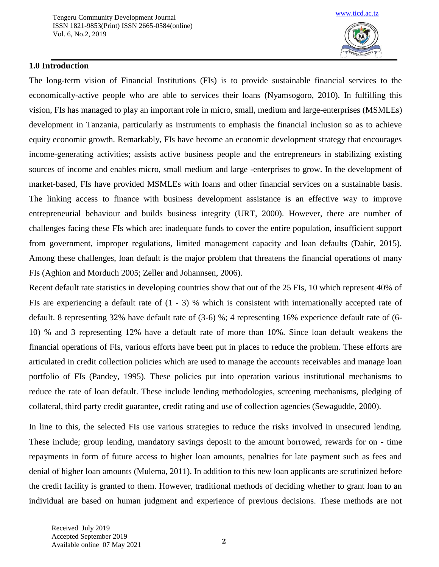

### **1.0 Introduction**

The long-term vision of Financial Institutions (FIs) is to provide sustainable financial services to the economically-active people who are able to services their loans (Nyamsogoro, 2010). In fulfilling this vision, FIs has managed to play an important role in micro, small, medium and large-enterprises (MSMLEs) development in Tanzania, particularly as instruments to emphasis the financial inclusion so as to achieve equity economic growth. Remarkably, FIs have become an economic development strategy that encourages income-generating activities; assists active business people and the entrepreneurs in stabilizing existing sources of income and enables micro, small medium and large -enterprises to grow. In the development of market-based, FIs have provided MSMLEs with loans and other financial services on a sustainable basis. The linking access to finance with business development assistance is an effective way to improve entrepreneurial behaviour and builds business integrity (URT, 2000). However, there are number of challenges facing these FIs which are: inadequate funds to cover the entire population, insufficient support from government, improper regulations, limited management capacity and loan defaults (Dahir, 2015). Among these challenges, loan default is the major problem that threatens the financial operations of many FIs (Aghion and Morduch 2005; Zeller and Johannsen, 2006).

Recent default rate statistics in developing countries show that out of the 25 FIs, 10 which represent 40% of FIs are experiencing a default rate of (1 - 3) % which is consistent with internationally accepted rate of default. 8 representing 32% have default rate of (3-6) %; 4 representing 16% experience default rate of (6- 10) % and 3 representing 12% have a default rate of more than 10%. Since loan default weakens the financial operations of FIs, various efforts have been put in places to reduce the problem. These efforts are articulated in credit collection policies which are used to manage the accounts receivables and manage loan portfolio of FIs (Pandey, 1995). These policies put into operation various institutional mechanisms to reduce the rate of loan default. These include lending methodologies, screening mechanisms, pledging of collateral, third party credit guarantee, credit rating and use of collection agencies (Sewagudde, 2000).

In line to this, the selected FIs use various strategies to reduce the risks involved in unsecured lending. These include; group lending, mandatory savings deposit to the amount borrowed, rewards for on - time repayments in form of future access to higher loan amounts, penalties for late payment such as fees and denial of higher loan amounts (Mulema, 2011). In addition to this new loan applicants are scrutinized before the credit facility is granted to them. However, traditional methods of deciding whether to grant loan to an individual are based on human judgment and experience of previous decisions. These methods are not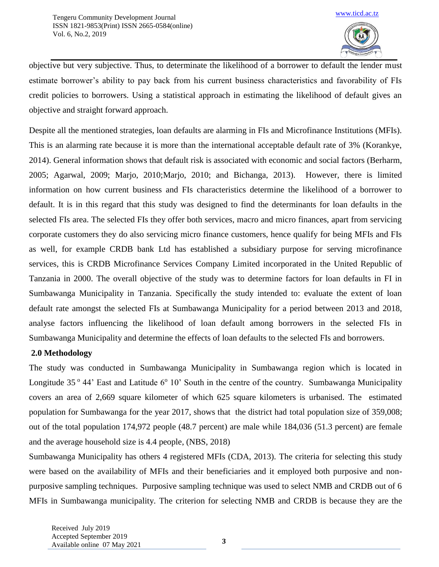

objective but very subjective. Thus, to determinate the likelihood of a borrower to default the lender must estimate borrower's ability to pay back from his current business characteristics and favorability of FIs credit policies to borrowers. Using a statistical approach in estimating the likelihood of default gives an objective and straight forward approach.

Despite all the mentioned strategies, loan defaults are alarming in FIs and Microfinance Institutions (MFIs). This is an alarming rate because it is more than the international acceptable default rate of 3% (Korankye, 2014). General information shows that default risk is associated with economic and social factors (Berharm, 2005; Agarwal, 2009; Marjo, 2010;Marjo, 2010; and Bichanga, 2013). However, there is limited information on how current business and FIs characteristics determine the likelihood of a borrower to default. It is in this regard that this study was designed to find the determinants for loan defaults in the selected FIs area. The selected FIs they offer both services, macro and micro finances, apart from servicing corporate customers they do also servicing micro finance customers, hence qualify for being MFIs and FIs as well, for example CRDB bank Ltd has established a subsidiary purpose for serving microfinance services, this is CRDB Microfinance Services Company Limited incorporated in the United Republic of Tanzania in 2000. The overall objective of the study was to determine factors for loan defaults in FI in Sumbawanga Municipality in Tanzania. Specifically the study intended to: evaluate the extent of loan default rate amongst the selected FIs at Sumbawanga Municipality for a period between 2013 and 2018, analyse factors influencing the likelihood of loan default among borrowers in the selected FIs in Sumbawanga Municipality and determine the effects of loan defaults to the selected FIs and borrowers.

## **2.0 Methodology**

The study was conducted in Sumbawanga Municipality in Sumbawanga region which is located in Longitude  $35^{\circ}$  44' East and Latitude  $6^{\circ}$  10' South in the centre of the country. Sumbawanga Municipality covers an area of 2,669 square kilometer of which 625 square kilometers is urbanised. The estimated population for Sumbawanga for the year 2017, shows that the district had total population size of 359,008; out of the total population 174,972 people (48.7 percent) are male while 184,036 (51.3 percent) are female and the average household size is 4.4 people, (NBS, 2018)

Sumbawanga Municipality has others 4 registered MFIs (CDA, 2013). The criteria for selecting this study were based on the availability of MFIs and their beneficiaries and it employed both purposive and nonpurposive sampling techniques. Purposive sampling technique was used to select NMB and CRDB out of 6 MFIs in Sumbawanga municipality. The criterion for selecting NMB and CRDB is because they are the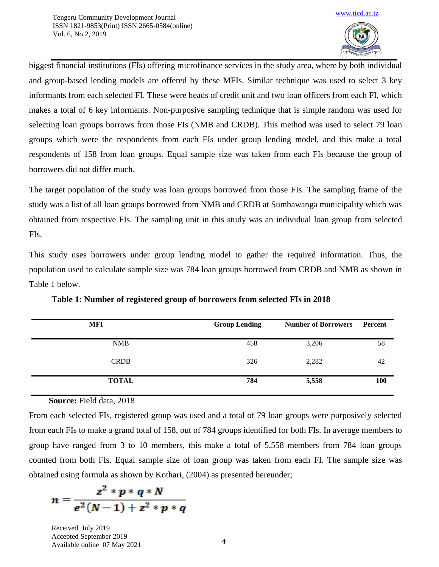

biggest financial institutions (FIs) offering microfinance services in the study area, where by both individual and group-based lending models are offered by these MFIs. Similar technique was used to select 3 key informants from each selected FI. These were heads of credit unit and two loan officers from each FI, which makes a total of 6 key informants. Non-purposive sampling technique that is simple random was used for selecting loan groups borrows from those FIs (NMB and CRDB). This method was used to select 79 loan groups which were the respondents from each FIs under group lending model, and this make a total respondents of 158 from loan groups. Equal sample size was taken from each FIs because the group of borrowers did not differ much.

The target population of the study was loan groups borrowed from those FIs. The sampling frame of the study was a list of all loan groups borrowed from NMB and CRDB at Sumbawanga municipality which was obtained from respective FIs. The sampling unit in this study was an individual loan group from selected FIs.

This study uses borrowers under group lending model to gather the required information. Thus, the population used to calculate sample size was 784 loan groups borrowed from CRDB and NMB as shown in Table 1 below.

| <b>MFI</b>   | <b>Group Lending</b> | <b>Number of Borrowers</b> | <b>Percent</b> |
|--------------|----------------------|----------------------------|----------------|
| <b>NMB</b>   | 458                  | 3,206                      | 58             |
| <b>CRDB</b>  | 326                  | 2,282                      | 42             |
| <b>TOTAL</b> | 784                  | 5,558                      | <b>100</b>     |

**Table 1: Number of registered group of borrowers from selected FIs in 2018** 

### **Source:** Field data, 2018

From each selected FIs, registered group was used and a total of 79 loan groups were purposively selected from each FIs to make a grand total of 158, out of 784 groups identified for both FIs. In average members to group have ranged from 3 to 10 members, this make a total of 5,558 members from 784 loan groups counted from both FIs. Equal sample size of loan group was taken from each FI. The sample size was obtained using formula as shown by Kothari, (2004) as presented hereunder;

$$
n = \frac{z^2 * p * q * N}{e^2(N-1) + z^2 * p * q}
$$

Received July 2019 Accepted September 2019 Available online 07 May <sup>2021</sup> **<sup>4</sup>**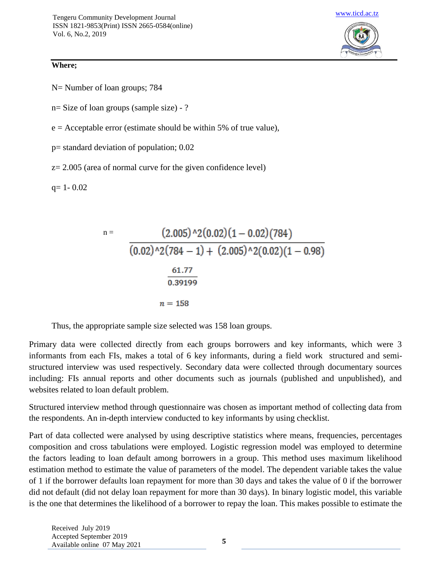### **Where;**

N= Number of loan groups; 784

n= Size of loan groups (sample size) - ?

 $e =$  Acceptable error (estimate should be within 5% of true value),

p= standard deviation of population; 0.02

 $z= 2.005$  (area of normal curve for the given confidence level)

 $q= 1 - 0.02$ 

n = 
$$
\frac{(2.005)^{2}(0.02)(1 - 0.02)(784)}{(0.02)^{2}(784 - 1) + (2.005)^{2}(0.02)(1 - 0.98)}
$$

$$
\frac{61.77}{0.39199}
$$

$$
n = 158
$$

Thus, the appropriate sample size selected was 158 loan groups.

Primary data were collected directly from each groups borrowers and key informants, which were 3 informants from each FIs, makes a total of 6 key informants, during a field work structured and semistructured interview was used respectively. Secondary data were collected through documentary sources including: FIs annual reports and other documents such as journals (published and unpublished), and websites related to loan default problem.

Structured interview method through questionnaire was chosen as important method of collecting data from the respondents. An in-depth interview conducted to key informants by using checklist.

Part of data collected were analysed by using descriptive statistics where means, frequencies, percentages composition and cross tabulations were employed. Logistic regression model was employed to determine the factors leading to loan default among borrowers in a group. This method uses maximum likelihood estimation method to estimate the value of parameters of the model. The dependent variable takes the value of 1 if the borrower defaults loan repayment for more than 30 days and takes the value of 0 if the borrower did not default (did not delay loan repayment for more than 30 days). In binary logistic model, this variable is the one that determines the likelihood of a borrower to repay the loan. This makes possible to estimate the

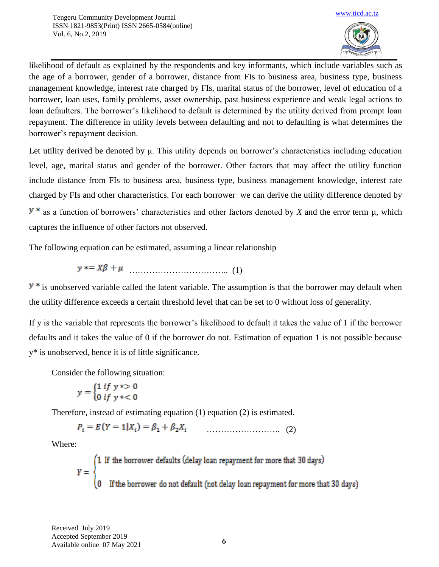

likelihood of default as explained by the respondents and key informants, which include variables such as the age of a borrower, gender of a borrower, distance from FIs to business area, business type, business management knowledge, interest rate charged by FIs, marital status of the borrower, level of education of a borrower, loan uses, family problems, asset ownership, past business experience and weak legal actions to loan defaulters. The borrower's likelihood to default is determined by the utility derived from prompt loan repayment. The difference in utility levels between defaulting and not to defaulting is what determines the borrower's repayment decision.

Let utility derived be denoted by μ. This utility depends on borrower's characteristics including education level, age, marital status and gender of the borrower. Other factors that may affect the utility function include distance from FIs to business area, business type, business management knowledge, interest rate charged by FIs and other characteristics. For each borrower we can derive the utility difference denoted by  $y^*$  as a function of borrowers' characteristics and other factors denoted by *X* and the error term  $\mu$ , which captures the influence of other factors not observed.

The following equation can be estimated, assuming a linear relationship

$$
y^* = X\beta + \mu
$$
 (1)

 $y *$  is unobserved variable called the latent variable. The assumption is that the borrower may default when the utility difference exceeds a certain threshold level that can be set to 0 without loss of generality.

If y is the variable that represents the borrower's likelihood to default it takes the value of 1 if the borrower defaults and it takes the value of 0 if the borrower do not. Estimation of equation 1 is not possible because y\* is unobserved, hence it is of little significance.

Consider the following situation:

$$
y = \begin{cases} 1 & \text{if } y \le 0 \\ 0 & \text{if } y \le 0 \end{cases}
$$

Therefore, instead of estimating equation (1) equation (2) is estimated.

…………………….. (2)

Where:

 $Y = \begin{cases} 1 & \text{If the borrower defaults (delay loan repayment for more that 30 days)} \\ 0 & \text{If the borrower do not default (not delay loan repayment for more that 30 days)} \end{cases}$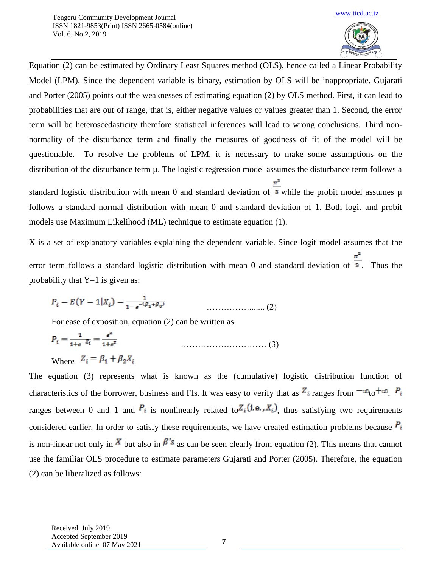

Equation (2) can be estimated by Ordinary Least Squares method (OLS), hence called a Linear Probability Model (LPM). Since the dependent variable is binary, estimation by OLS will be inappropriate. Gujarati and Porter (2005) points out the weaknesses of estimating equation (2) by OLS method. First, it can lead to probabilities that are out of range, that is, either negative values or values greater than 1. Second, the error term will be heteroscedasticity therefore statistical inferences will lead to wrong conclusions. Third nonnormality of the disturbance term and finally the measures of goodness of fit of the model will be questionable. To resolve the problems of LPM, it is necessary to make some assumptions on the distribution of the disturbance term µ. The logistic regression model assumes the disturbance term follows a

standard logistic distribution with mean 0 and standard deviation of  $\frac{\pi^2}{3}$  while the probit model assumes  $\mu$ follows a standard normal distribution with mean 0 and standard deviation of 1. Both logit and probit models use Maximum Likelihood (ML) technique to estimate equation (1).

X is a set of explanatory variables explaining the dependent variable. Since logit model assumes that the error term follows a standard logistic distribution with mean 0 and standard deviation of  $\frac{\pi^2}{3}$ . Thus the probability that  $Y=1$  is given as:

……………....... (2)

For ease of exposition, equation (2) can be written as

$$
P_i = \frac{1}{1 + e^{-Z_i}} = \frac{e^z}{1 + e^z} \tag{3}
$$

Where 
$$
Z_i = \beta_1 + \beta_2 X_i
$$

The equation (3) represents what is known as the (cumulative) logistic distribution function of characteristics of the borrower, business and FIs. It was easy to verify that as  $Z_i$  ranges from  $-\infty$  to  $+\infty$ ,  $P_i$ ranges between 0 and 1 and  $P_i$  is nonlinearly related to  $Z_i$  (i.e.,  $X_i$ ), thus satisfying two requirements considered earlier. In order to satisfy these requirements, we have created estimation problems because  $P_i$ is non-linear not only in  $\overline{X}$  but also in  $\beta'$  as can be seen clearly from equation (2). This means that cannot use the familiar OLS procedure to estimate parameters Gujarati and Porter (2005). Therefore, the equation (2) can be liberalized as follows: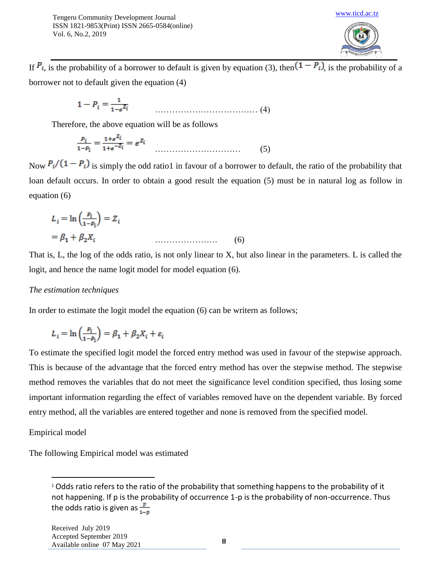

If  $P_i$ , is the probability of a borrower to default is given by equation (3), then  $(1 - P_i)$ , is the probability of a borrower not to default given the equation (4)

$$
1 - P_i = \frac{1}{1 - e^{Z_i}} \tag{4}
$$

Therefore, the above equation will be as follows

$$
\frac{p_i}{1 - p_i} = \frac{1 + e^{Z_i}}{1 + e^{-Z_i}} = e^{Z_i} \qquad (5)
$$

Now  $P_i/(1 - P_i)$  is simply the odd ratio1 in favour of a borrower to default, the ratio of the probability that loan default occurs. In order to obtain a good result the equation (5) must be in natural log as follow in equation (6)

$$
L_i = \ln\left(\frac{p_i}{1 - p_i}\right) = Z_i
$$
  
=  $\beta_1 + \beta_2 X_i$  (6)

That is, L, the log of the odds ratio, is not only linear to X, but also linear in the parameters. L is called the logit, and hence the name logit model for model equation (6).

### *The estimation techniques*

In order to estimate the logit model the equation (6) can be writern as follows;

$$
L_i = \ln\left(\frac{P_i}{1 - P_i}\right) = \beta_1 + \beta_2 X_i + \varepsilon_i
$$

To estimate the specified logit model the forced entry method was used in favour of the stepwise approach. This is because of the advantage that the forced entry method has over the stepwise method. The stepwise method removes the variables that do not meet the significance level condition specified, thus losing some important information regarding the effect of variables removed have on the dependent variable. By forced entry method, all the variables are entered together and none is removed from the specified model.

### Empirical model

 $\overline{\phantom{a}}$ 

The following Empirical model was estimated

<sup>&</sup>lt;sup>1</sup> Odds ratio refers to the ratio of the probability that something happens to the probability of it not happening. If p is the probability of occurrence 1-p is the probability of non-occurrence. Thus the odds ratio is given as  $\frac{p}{1-p}$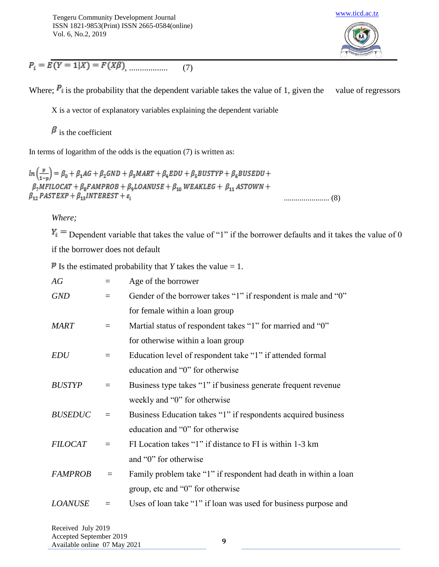

 $P_i = E(Y = 1|X) = F(X\beta)$  (7)

Where;  $P_i$  is the probability that the dependent variable takes the value of 1, given the value of regressors

X is a vector of explanatory variables explaining the dependent variable

 $\beta$  is the coefficient

In terms of logarithm of the odds is the equation  $(7)$  is written as:

 $\ln\left(\frac{p}{1-n}\right) = \beta_0 + \beta_1 AG + \beta_2 GND + \beta_3 MART + \beta_4 EDU + \beta_5 BUSTYP + \beta_6 BUSEDU +$  $\beta_7 MFILOCAT + \beta_8 FAMPROB + \beta_9 LOANUSE + \beta_{10} WEAKLEG + \beta_{11} ASTOWN +$  $\beta_{12}$  PASTEXP +  $\beta_{13}$ INTEREST +  $\varepsilon_i$ ....................... (8)

*Where;*

 $Y_i$  = Dependent variable that takes the value of "1" if the borrower defaults and it takes the value of 0

if the borrower does not default

**P** Is the estimated probability that *Y* takes the value = 1.

| AG             |                 | Age of the borrower                                              |
|----------------|-----------------|------------------------------------------------------------------|
| <b>GND</b>     | $\!\!\!=\!\!\!$ | Gender of the borrower takes "1" if respondent is male and "0"   |
|                |                 | for female within a loan group                                   |
| <b>MART</b>    | $\equiv$        | Martial status of respondent takes "1" for married and "0"       |
|                |                 | for otherwise within a loan group                                |
| <b>EDU</b>     | $\equiv$        | Education level of respondent take "1" if attended formal        |
|                |                 | education and "0" for otherwise                                  |
| <b>BUSTYP</b>  | $\equiv$        | Business type takes "1" if business generate frequent revenue    |
|                |                 | weekly and "0" for otherwise                                     |
| <b>BUSEDUC</b> | $\equiv$        | Business Education takes "1" if respondents acquired business    |
|                |                 | education and "0" for otherwise                                  |
| <b>FILOCAT</b> | $=$             | FI Location takes "1" if distance to FI is within 1-3 km         |
|                |                 | and "0" for otherwise                                            |
| <b>FAMPROB</b> | $\equiv$        | Family problem take "1" if respondent had death in within a loan |
|                |                 | group, etc and "0" for otherwise                                 |
| <b>LOANUSE</b> |                 | Uses of loan take "1" if loan was used for business purpose and  |
|                |                 |                                                                  |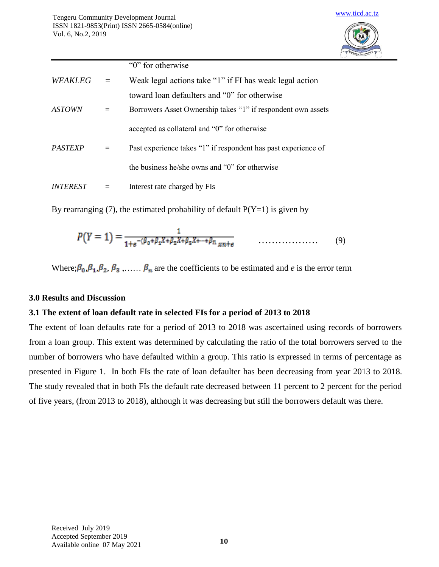

|         |                                                                                                                                                                                                                                                                                                                                                                                              | "0" for otherwise                                            |
|---------|----------------------------------------------------------------------------------------------------------------------------------------------------------------------------------------------------------------------------------------------------------------------------------------------------------------------------------------------------------------------------------------------|--------------------------------------------------------------|
| WEAKLEG | $\frac{1}{2} \frac{1}{2} \frac{1}{2} \frac{1}{2} \frac{1}{2} \frac{1}{2} \frac{1}{2} \frac{1}{2} \frac{1}{2} \frac{1}{2} \frac{1}{2} \frac{1}{2} \frac{1}{2} \frac{1}{2} \frac{1}{2} \frac{1}{2} \frac{1}{2} \frac{1}{2} \frac{1}{2} \frac{1}{2} \frac{1}{2} \frac{1}{2} \frac{1}{2} \frac{1}{2} \frac{1}{2} \frac{1}{2} \frac{1}{2} \frac{1}{2} \frac{1}{2} \frac{1}{2} \frac{1}{2} \frac{$ | Weak legal actions take "1" if FI has weak legal action      |
|         |                                                                                                                                                                                                                                                                                                                                                                                              | toward loan defaulters and "0" for otherwise                 |
| ASTOWN  | $=$                                                                                                                                                                                                                                                                                                                                                                                          | Borrowers Asset Ownership takes "1" if respondent own assets |
|         |                                                                                                                                                                                                                                                                                                                                                                                              | accepted as collateral and "0" for otherwise                 |
|         |                                                                                                                                                                                                                                                                                                                                                                                              |                                                              |

*PASTEXP* = Past experience takes "1" if respondent has past experience of the business he/she owns and "0" for otherwise

*INTEREST* = Interest rate charged by FIs

By rearranging (7), the estimated probability of default  $P(Y=1)$  is given by

$$
P(Y = 1) = \frac{1}{1 + e^{-(\beta_0 + \beta_1 X + \beta_2 X + \beta_3 X + \dots + \beta_n x_{n+1} + \beta_1 x_n + \dots + \dots} (9)}
$$

Where;  $\beta_0$ ,  $\beta_1$ ,  $\beta_2$ ,  $\beta_3$ ,.....  $\beta_n$  are the coefficients to be estimated and *e* is the error term

### **3.0 Results and Discussion**

### **3.1 The extent of loan default rate in selected FIs for a period of 2013 to 2018**

The extent of loan defaults rate for a period of 2013 to 2018 was ascertained using records of borrowers from a loan group. This extent was determined by calculating the ratio of the total borrowers served to the number of borrowers who have defaulted within a group. This ratio is expressed in terms of percentage as presented in Figure 1. In both FIs the rate of loan defaulter has been decreasing from year 2013 to 2018. The study revealed that in both FIs the default rate decreased between 11 percent to 2 percent for the period of five years, (from 2013 to 2018), although it was decreasing but still the borrowers default was there.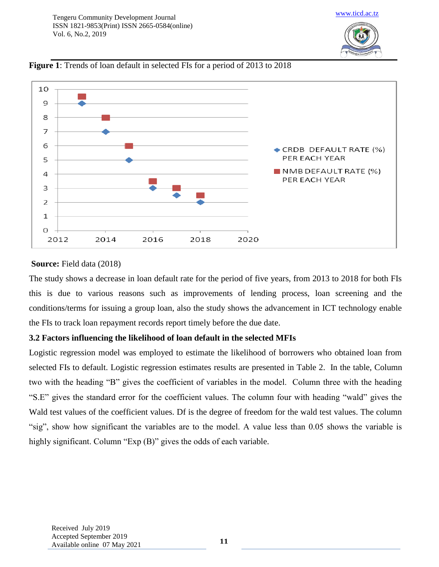

[www.ticd.ac.tz](http://www.ticd.ac.tz/)

**Figure 1**: Trends of loan default in selected FIs for a period of 2013 to 2018

### **Source:** Field data (2018)

The study shows a decrease in loan default rate for the period of five years, from 2013 to 2018 for both FIs this is due to various reasons such as improvements of lending process, loan screening and the conditions/terms for issuing a group loan, also the study shows the advancement in ICT technology enable the FIs to track loan repayment records report timely before the due date.

## **3.2 Factors influencing the likelihood of loan default in the selected MFIs**

Logistic regression model was employed to estimate the likelihood of borrowers who obtained loan from selected FIs to default. Logistic regression estimates results are presented in Table 2. In the table, Column two with the heading "B" gives the coefficient of variables in the model. Column three with the heading "S.E" gives the standard error for the coefficient values. The column four with heading "wald" gives the Wald test values of the coefficient values. Df is the degree of freedom for the wald test values. The column "sig", show how significant the variables are to the model. A value less than 0.05 shows the variable is highly significant. Column "Exp (B)" gives the odds of each variable.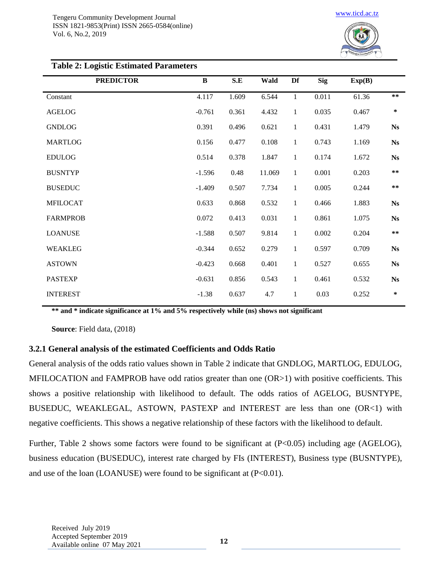

| $\bf{B}$ | S.E   | Wald   | Df           | <b>Sig</b> | Exp(B) |            |  |  |
|----------|-------|--------|--------------|------------|--------|------------|--|--|
| 4.117    | 1.609 | 6.544  | $\mathbf{1}$ | 0.011      | 61.36  | $***$      |  |  |
| $-0.761$ | 0.361 | 4.432  | $\mathbf{1}$ | 0.035      | 0.467  | $\ast$     |  |  |
| 0.391    | 0.496 | 0.621  | $\mathbf{1}$ | 0.431      | 1.479  | <b>Ns</b>  |  |  |
| 0.156    | 0.477 | 0.108  | $\mathbf{1}$ | 0.743      | 1.169  | <b>Ns</b>  |  |  |
| 0.514    | 0.378 | 1.847  | $\mathbf{1}$ | 0.174      | 1.672  | <b>Ns</b>  |  |  |
| $-1.596$ | 0.48  | 11.069 | $\mathbf{1}$ | 0.001      | 0.203  | $\ast\ast$ |  |  |
| $-1.409$ | 0.507 | 7.734  | $\mathbf{1}$ | 0.005      | 0.244  | $\ast\ast$ |  |  |
| 0.633    | 0.868 | 0.532  | $\mathbf{1}$ | 0.466      | 1.883  | <b>Ns</b>  |  |  |
| 0.072    | 0.413 | 0.031  | $1\,$        | 0.861      | 1.075  | <b>Ns</b>  |  |  |
| $-1.588$ | 0.507 | 9.814  | $1\,$        | 0.002      | 0.204  | $\ast\ast$ |  |  |
| $-0.344$ | 0.652 | 0.279  | $\mathbf{1}$ | 0.597      | 0.709  | <b>Ns</b>  |  |  |
| $-0.423$ | 0.668 | 0.401  | $\mathbf{1}$ | 0.527      | 0.655  | <b>Ns</b>  |  |  |
| $-0.631$ | 0.856 | 0.543  | $\mathbf{1}$ | 0.461      | 0.532  | <b>Ns</b>  |  |  |
| $-1.38$  | 0.637 | 4.7    | $\mathbf{1}$ | 0.03       | 0.252  | $\ast$     |  |  |
|          |       |        |              |            |        |            |  |  |

#### **Table 2: Logistic Estimated Parameters**

**\*\* and \* indicate significance at 1% and 5% respectively while (ns) shows not significant**

**Source**: Field data, (2018)

### **3.2.1 General analysis of the estimated Coefficients and Odds Ratio**

General analysis of the odds ratio values shown in Table 2 indicate that GNDLOG, MARTLOG, EDULOG, MFILOCATION and FAMPROB have odd ratios greater than one (OR>1) with positive coefficients. This shows a positive relationship with likelihood to default. The odds ratios of AGELOG, BUSNTYPE, BUSEDUC, WEAKLEGAL, ASTOWN, PASTEXP and INTEREST are less than one (OR<1) with negative coefficients. This shows a negative relationship of these factors with the likelihood to default.

Further, Table 2 shows some factors were found to be significant at  $(P<0.05)$  including age (AGELOG), business education (BUSEDUC), interest rate charged by FIs (INTEREST), Business type (BUSNTYPE), and use of the loan (LOANUSE) were found to be significant at  $(P<0.01)$ .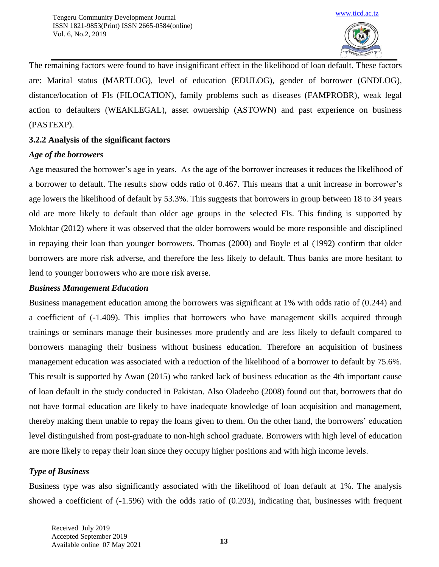

The remaining factors were found to have insignificant effect in the likelihood of loan default. These factors are: Marital status (MARTLOG), level of education (EDULOG), gender of borrower (GNDLOG), distance/location of FIs (FILOCATION), family problems such as diseases (FAMPROBR), weak legal action to defaulters (WEAKLEGAL), asset ownership (ASTOWN) and past experience on business (PASTEXP).

## **3.2.2 Analysis of the significant factors**

## *Age of the borrowers*

Age measured the borrower's age in years. As the age of the borrower increases it reduces the likelihood of a borrower to default. The results show odds ratio of 0.467. This means that a unit increase in borrower's age lowers the likelihood of default by 53.3%. This suggests that borrowers in group between 18 to 34 years old are more likely to default than older age groups in the selected FIs. This finding is supported by Mokhtar (2012) where it was observed that the older borrowers would be more responsible and disciplined in repaying their loan than younger borrowers. Thomas (2000) and Boyle et al (1992) confirm that older borrowers are more risk adverse, and therefore the less likely to default. Thus banks are more hesitant to lend to younger borrowers who are more risk averse.

## *Business Management Education*

Business management education among the borrowers was significant at 1% with odds ratio of (0.244) and a coefficient of (-1.409). This implies that borrowers who have management skills acquired through trainings or seminars manage their businesses more prudently and are less likely to default compared to borrowers managing their business without business education. Therefore an acquisition of business management education was associated with a reduction of the likelihood of a borrower to default by 75.6%. This result is supported by Awan (2015) who ranked lack of business education as the 4th important cause of loan default in the study conducted in Pakistan. Also Oladeebo (2008) found out that, borrowers that do not have formal education are likely to have inadequate knowledge of loan acquisition and management, thereby making them unable to repay the loans given to them. On the other hand, the borrowers' education level distinguished from post-graduate to non-high school graduate. Borrowers with high level of education are more likely to repay their loan since they occupy higher positions and with high income levels.

## *Type of Business*

Business type was also significantly associated with the likelihood of loan default at 1%. The analysis showed a coefficient of (-1.596) with the odds ratio of (0.203), indicating that, businesses with frequent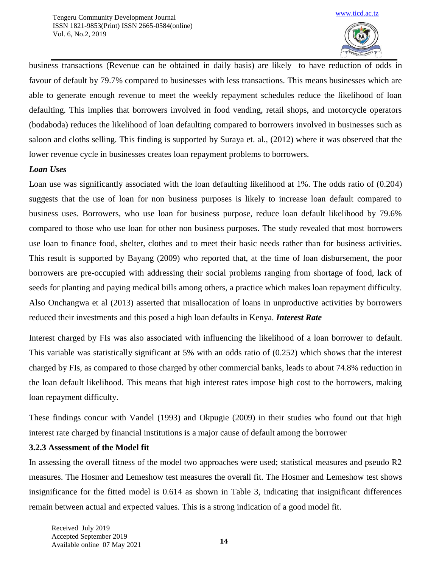

business transactions (Revenue can be obtained in daily basis) are likely to have reduction of odds in favour of default by 79.7% compared to businesses with less transactions. This means businesses which are able to generate enough revenue to meet the weekly repayment schedules reduce the likelihood of loan defaulting. This implies that borrowers involved in food vending, retail shops, and motorcycle operators (bodaboda) reduces the likelihood of loan defaulting compared to borrowers involved in businesses such as saloon and cloths selling. This finding is supported by Suraya et. al., (2012) where it was observed that the lower revenue cycle in businesses creates loan repayment problems to borrowers.

### *Loan Uses*

Loan use was significantly associated with the loan defaulting likelihood at 1%. The odds ratio of (0.204) suggests that the use of loan for non business purposes is likely to increase loan default compared to business uses. Borrowers, who use loan for business purpose, reduce loan default likelihood by 79.6% compared to those who use loan for other non business purposes. The study revealed that most borrowers use loan to finance food, shelter, clothes and to meet their basic needs rather than for business activities. This result is supported by Bayang (2009) who reported that, at the time of loan disbursement, the poor borrowers are pre-occupied with addressing their social problems ranging from shortage of food, lack of seeds for planting and paying medical bills among others, a practice which makes loan repayment difficulty. Also Onchangwa et al (2013) asserted that misallocation of loans in unproductive activities by borrowers reduced their investments and this posed a high loan defaults in Kenya. *Interest Rate*

Interest charged by FIs was also associated with influencing the likelihood of a loan borrower to default. This variable was statistically significant at 5% with an odds ratio of (0.252) which shows that the interest charged by FIs, as compared to those charged by other commercial banks, leads to about 74.8% reduction in the loan default likelihood. This means that high interest rates impose high cost to the borrowers, making loan repayment difficulty.

These findings concur with Vandel (1993) and Okpugie (2009) in their studies who found out that high interest rate charged by financial institutions is a major cause of default among the borrower

### **3.2.3 Assessment of the Model fit**

In assessing the overall fitness of the model two approaches were used; statistical measures and pseudo R2 measures. The Hosmer and Lemeshow test measures the overall fit. The Hosmer and Lemeshow test shows insignificance for the fitted model is 0.614 as shown in Table 3, indicating that insignificant differences remain between actual and expected values. This is a strong indication of a good model fit.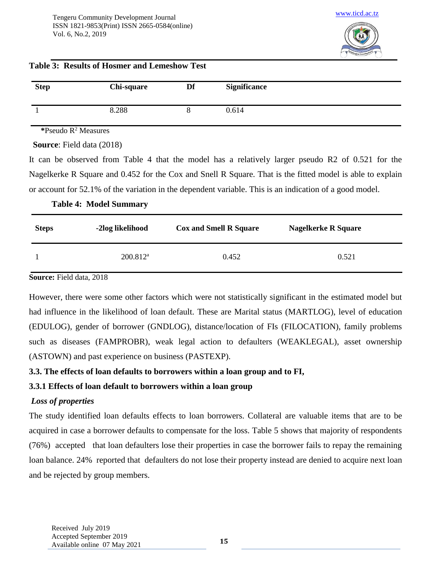

## **Table 3: Results of Hosmer and Lemeshow Test**

| <b>Step</b> | <b>Chi-square</b> | Df | <b>Significance</b> |
|-------------|-------------------|----|---------------------|
|             | 8.288             |    | 0.614               |

**\***Pseudo R<sup>2</sup> Measures

 **Source**: Field data (2018)

It can be observed from Table 4 that the model has a relatively larger pseudo R2 of 0.521 for the Nagelkerke R Square and 0.452 for the Cox and Snell R Square. That is the fitted model is able to explain or account for 52.1% of the variation in the dependent variable. This is an indication of a good model.

### **Table 4: Model Summary**

| <b>Steps</b> | -2log likelihood     | <b>Cox and Smell R Square</b> | <b>Nagelkerke R Square</b> |
|--------------|----------------------|-------------------------------|----------------------------|
|              | $200.812^{\text{a}}$ | 0.452                         | 0.521                      |

**Source:** Field data, 2018

However, there were some other factors which were not statistically significant in the estimated model but had influence in the likelihood of loan default. These are Marital status (MARTLOG), level of education (EDULOG), gender of borrower (GNDLOG), distance/location of FIs (FILOCATION), family problems such as diseases (FAMPROBR), weak legal action to defaulters (WEAKLEGAL), asset ownership (ASTOWN) and past experience on business (PASTEXP).

## **3.3. The effects of loan defaults to borrowers within a loan group and to FI,**

## **3.3.1 Effects of loan default to borrowers within a loan group**

## *Loss of properties*

The study identified loan defaults effects to loan borrowers. Collateral are valuable items that are to be acquired in case a borrower defaults to compensate for the loss. Table 5 shows that majority of respondents (76%) accepted that loan defaulters lose their properties in case the borrower fails to repay the remaining loan balance. 24% reported that defaulters do not lose their property instead are denied to acquire next loan and be rejected by group members.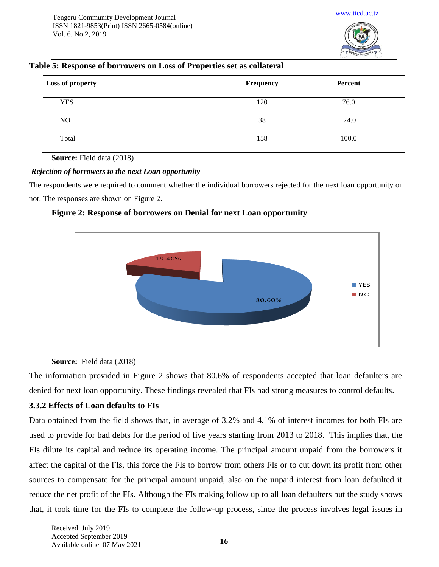

### **Table 5: Response of borrowers on Loss of Properties set as collateral**

| Loss of property | Frequency | Percent |  |
|------------------|-----------|---------|--|
| <b>YES</b>       | 120       | 76.0    |  |
| NO               | 38        | 24.0    |  |
| Total            | 158       | 100.0   |  |

**Source:** Field data (2018)

### *Rejection of borrowers to the next Loan opportunity*

The respondents were required to comment whether the individual borrowers rejected for the next loan opportunity or not. The responses are shown on Figure 2.





### **Source:** Field data (2018)

The information provided in Figure 2 shows that 80.6% of respondents accepted that loan defaulters are denied for next loan opportunity. These findings revealed that FIs had strong measures to control defaults.

### **3.3.2 Effects of Loan defaults to FIs**

Data obtained from the field shows that, in average of 3.2% and 4.1% of interest incomes for both FIs are used to provide for bad debts for the period of five years starting from 2013 to 2018. This implies that, the FIs dilute its capital and reduce its operating income. The principal amount unpaid from the borrowers it affect the capital of the FIs, this force the FIs to borrow from others FIs or to cut down its profit from other sources to compensate for the principal amount unpaid, also on the unpaid interest from loan defaulted it reduce the net profit of the FIs. Although the FIs making follow up to all loan defaulters but the study shows that, it took time for the FIs to complete the follow-up process, since the process involves legal issues in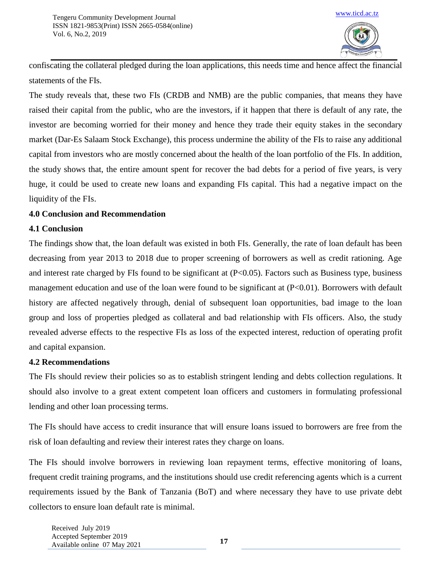

confiscating the collateral pledged during the loan applications, this needs time and hence affect the financial statements of the FIs.

The study reveals that, these two FIs (CRDB and NMB) are the public companies, that means they have raised their capital from the public, who are the investors, if it happen that there is default of any rate, the investor are becoming worried for their money and hence they trade their equity stakes in the secondary market (Dar-Es Salaam Stock Exchange), this process undermine the ability of the FIs to raise any additional capital from investors who are mostly concerned about the health of the loan portfolio of the FIs. In addition, the study shows that, the entire amount spent for recover the bad debts for a period of five years, is very huge, it could be used to create new loans and expanding FIs capital. This had a negative impact on the liquidity of the FIs.

### **4.0 Conclusion and Recommendation**

### **4.1 Conclusion**

The findings show that, the loan default was existed in both FIs. Generally, the rate of loan default has been decreasing from year 2013 to 2018 due to proper screening of borrowers as well as credit rationing. Age and interest rate charged by FIs found to be significant at  $(P<0.05)$ . Factors such as Business type, business management education and use of the loan were found to be significant at (P<0.01). Borrowers with default history are affected negatively through, denial of subsequent loan opportunities, bad image to the loan group and loss of properties pledged as collateral and bad relationship with FIs officers. Also, the study revealed adverse effects to the respective FIs as loss of the expected interest, reduction of operating profit and capital expansion.

### **4.2 Recommendations**

The FIs should review their policies so as to establish stringent lending and debts collection regulations. It should also involve to a great extent competent loan officers and customers in formulating professional lending and other loan processing terms.

The FIs should have access to credit insurance that will ensure loans issued to borrowers are free from the risk of loan defaulting and review their interest rates they charge on loans.

The FIs should involve borrowers in reviewing loan repayment terms, effective monitoring of loans, frequent credit training programs, and the institutions should use credit referencing agents which is a current requirements issued by the Bank of Tanzania (BoT) and where necessary they have to use private debt collectors to ensure loan default rate is minimal.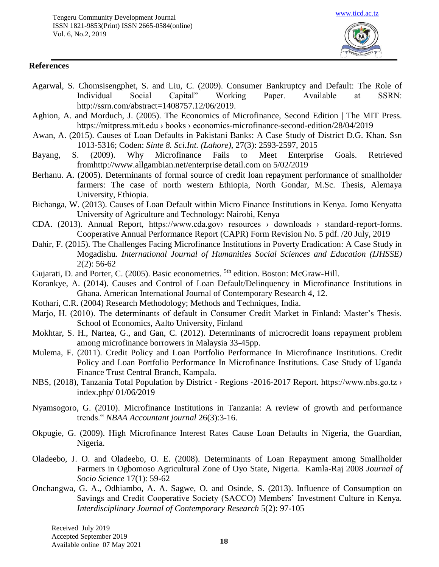

### **References**

- Agarwal, S. Chomsisengphet, S. and Liu, C. (2009). Consumer Bankruptcy and Default: The Role of Individual Social Capital" Working Paper. Available at SSRN: [http://ssrn.com/abstract=1408757.1](http://ssrn.com/abstract=1408757)2/06/2019.
- Aghion, A. and Morduch, J. (2005). The Economics of Microfinance, Second Edition | The MIT Press. https://mitpress.mit.edu › books › economics-microfinance-second-edition/28/04/2019
- Awan, A. (2015). Causes of Loan Defaults in Pakistani Banks: A Case Study of District D.G. Khan. Ssn 1013-5316; Coden: *Sinte 8. Sci.Int. (Lahore),* 27(3): 2593-2597, 2015
- Bayang, S. (2009). Why Microfinance Fails to Meet Enterprise Goals. Retrieved fromhttp://www.allgambian.net/enterprise detail.com on 5/02/2019
- Berhanu. A. (2005). Determinants of formal source of credit loan repayment performance of smallholder farmers: The case of north western Ethiopia, North Gondar, M.Sc. Thesis, Alemaya University, Ethiopia.
- Bichanga, W. (2013). Causes of Loan Default within Micro Finance Institutions in Kenya. Jomo Kenyatta University of Agriculture and Technology: Nairobi, Kenya
- CDA. (2013). Annual Report, https://www.cda.gov› resources › downloads › standard-report-forms. Cooperative Annual Performance Report (CAPR) Form Revision No. 5 pdf. /20 July, 2019
- Dahir, F. (2015). The Challenges Facing Microfinance Institutions in Poverty Eradication: A Case Study in Mogadishu. *International Journal of Humanities Social Sciences and Education (IJHSSE)* 2(2): 56-62
- Gujarati, D. and Porter, C. (2005). Basic econometrics. <sup>5th</sup> edition. Boston: McGraw-Hill.
- Korankye, A. (2014). Causes and Control of Loan Default/Delinquency in Microfinance Institutions in Ghana. American International Journal of Contemporary Research 4, 12.
- Kothari, C.R. (2004) Research Methodology; Methods and Techniques, India.
- Marjo, H. (2010). The determinants of default in Consumer Credit Market in Finland: Master's Thesis. School of Economics, Aalto University, Finland
- Mokhtar, S. H., Nartea, G., and Gan, C. (2012). Determinants of microcredit loans repayment problem among microfinance borrowers in Malaysia 33-45pp.
- Mulema, F. (2011). Credit Policy and Loan Portfolio Performance In Microfinance Institutions. Credit Policy and Loan Portfolio Performance In Microfinance Institutions. Case Study of Uganda Finance Trust Central Branch, Kampala.
- NBS, (2018), Tanzania Total Population by District Regions -2016-2017 Report. https://www.nbs.go.tz › index.php/ 01/06/2019
- Nyamsogoro, G. (2010). Microfinance Institutions in Tanzania: A review of growth and performance trends." *NBAA Accountant journal* 26(3):3-16.
- Okpugie, G. (2009). High Microfinance Interest Rates Cause Loan Defaults in Nigeria, the Guardian, Nigeria.
- Oladeebo, J. O. and Oladeebo, O. E. (2008). Determinants of Loan Repayment among Smallholder Farmers in Ogbomoso Agricultural Zone of Oyo State, Nigeria. Kamla-Raj 2008 *Journal of Socio Science* 17(1): 59-62
- Onchangwa, G. A., Odhiambo, A. A. Sagwe, O. and Osinde, S. (2013). Influence of Consumption on Savings and Credit Cooperative Society (SACCO) Members' Investment Culture in Kenya. *Interdisciplinary Journal of Contemporary Research* 5(2): 97-105